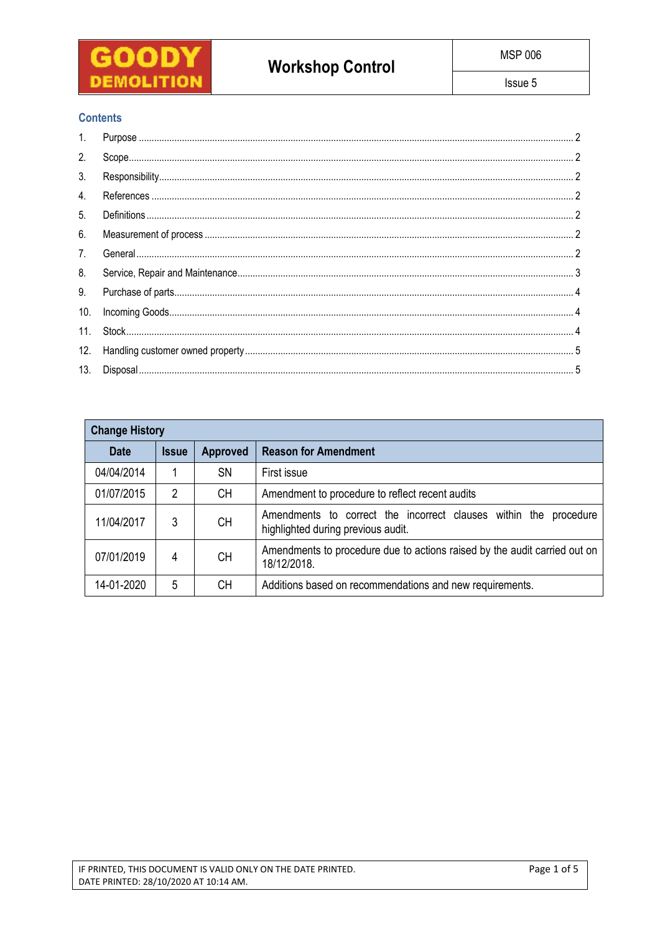

# **Contents**

| 3.  |  |
|-----|--|
| 4.  |  |
| 5.  |  |
| 6.  |  |
| 7.  |  |
| 8.  |  |
| 9.  |  |
| 10. |  |
|     |  |
| 12. |  |
|     |  |

| <b>Change History</b> |              |                 |                                                                                                        |  |  |  |  |
|-----------------------|--------------|-----------------|--------------------------------------------------------------------------------------------------------|--|--|--|--|
| <b>Date</b>           | <b>Issue</b> | <b>Approved</b> | <b>Reason for Amendment</b>                                                                            |  |  |  |  |
| 04/04/2014            |              | <b>SN</b>       | First issue                                                                                            |  |  |  |  |
| 01/07/2015            | 2            | CН              | Amendment to procedure to reflect recent audits                                                        |  |  |  |  |
| 11/04/2017            | 3            | <b>CH</b>       | Amendments to correct the incorrect clauses within the procedure<br>highlighted during previous audit. |  |  |  |  |
| 07/01/2019            | 4            | <b>CH</b>       | Amendments to procedure due to actions raised by the audit carried out on<br>18/12/2018.               |  |  |  |  |
| 14-01-2020            | 5            | CН              | Additions based on recommendations and new requirements.                                               |  |  |  |  |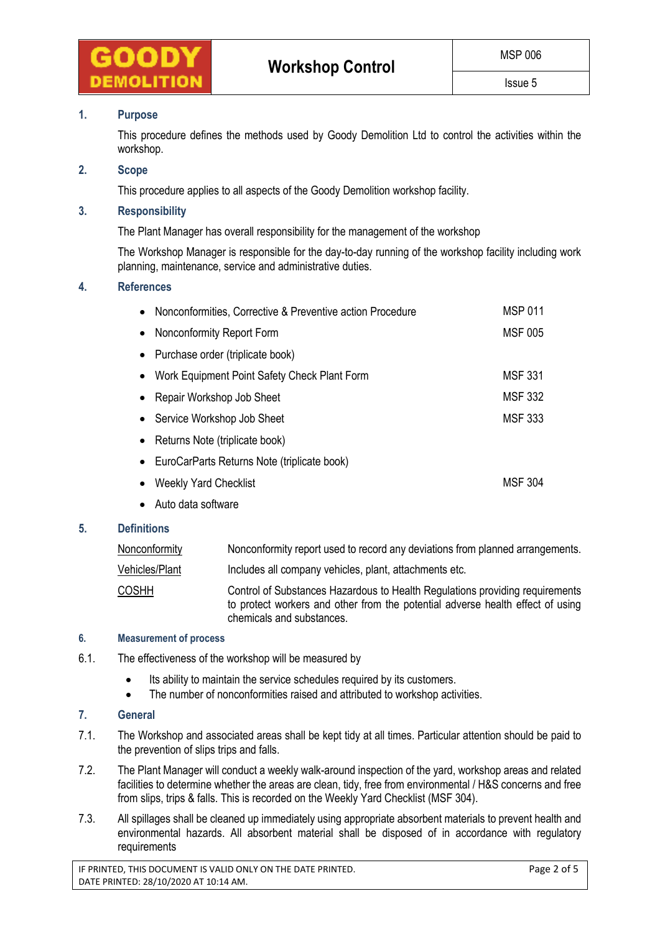

# **1. Purpose**

This procedure defines the methods used by Goody Demolition Ltd to control the activities within the workshop.

# **2. Scope**

This procedure applies to all aspects of the Goody Demolition workshop facility.

### **3. Responsibility**

The Plant Manager has overall responsibility for the management of the workshop

The Workshop Manager is responsible for the day-to-day running of the workshop facility including work planning, maintenance, service and administrative duties.

# **4. References**

| $\bullet$ | Nonconformities, Corrective & Preventive action Procedure | <b>MSP 011</b> |
|-----------|-----------------------------------------------------------|----------------|
| $\bullet$ | Nonconformity Report Form                                 | <b>MSF 005</b> |
| $\bullet$ | Purchase order (triplicate book)                          |                |
| $\bullet$ | Work Equipment Point Safety Check Plant Form              | <b>MSF 331</b> |
| $\bullet$ | Repair Workshop Job Sheet                                 | <b>MSF 332</b> |
| $\bullet$ | Service Workshop Job Sheet                                | <b>MSF 333</b> |
| $\bullet$ | Returns Note (triplicate book)                            |                |
| $\bullet$ | EuroCarParts Returns Note (triplicate book)               |                |
|           | <b>Weekly Yard Checklist</b>                              | MSF 304        |
|           |                                                           |                |

Auto data software

# **5. Definitions**

| <u>Nonconformity</u> | Nonconformity report used to record any deviations from planned arrangements.                                                                                                               |
|----------------------|---------------------------------------------------------------------------------------------------------------------------------------------------------------------------------------------|
| Vehicles/Plant       | Includes all company vehicles, plant, attachments etc.                                                                                                                                      |
| COSHH                | Control of Substances Hazardous to Health Regulations providing requirements<br>to protect workers and other from the potential adverse health effect of using<br>chemicals and substances. |

#### **6. Measurement of process**

- 6.1. The effectiveness of the workshop will be measured by
	- Its ability to maintain the service schedules required by its customers.
	- The number of nonconformities raised and attributed to workshop activities.

# **7. General**

- 7.1. The Workshop and associated areas shall be kept tidy at all times. Particular attention should be paid to the prevention of slips trips and falls.
- 7.2. The Plant Manager will conduct a weekly walk-around inspection of the yard, workshop areas and related facilities to determine whether the areas are clean, tidy, free from environmental / H&S concerns and free from slips, trips & falls. This is recorded on the Weekly Yard Checklist (MSF 304).
- 7.3. All spillages shall be cleaned up immediately using appropriate absorbent materials to prevent health and environmental hazards. All absorbent material shall be disposed of in accordance with regulatory requirements

IF PRINTED, THIS DOCUMENT IS VALID ONLY ON THE DATE PRINTED. Page 2 of 5 DATE PRINTED: 28/10/2020 AT 10:14 AM.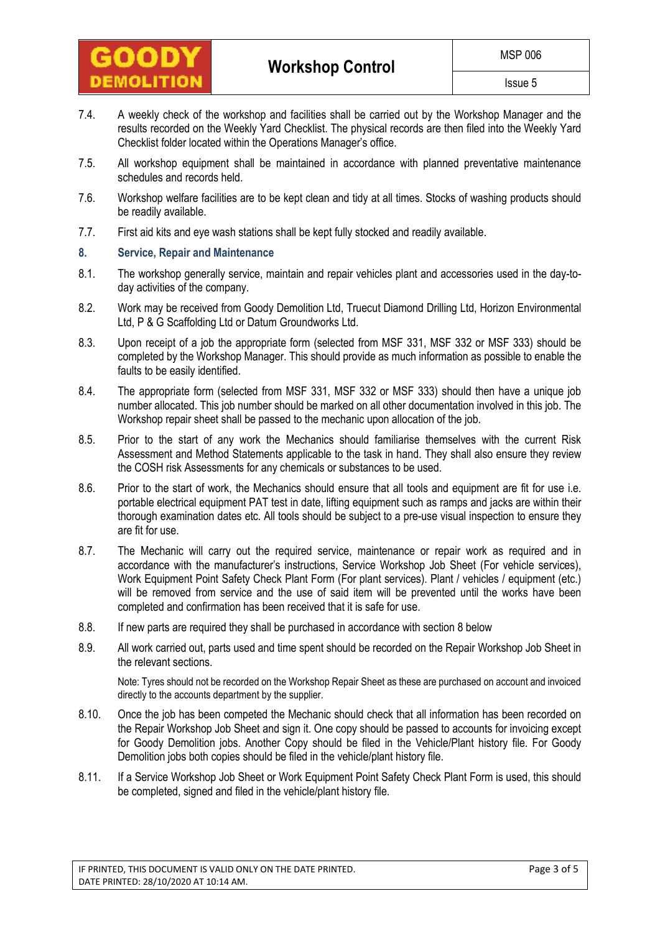

- 7.4. A weekly check of the workshop and facilities shall be carried out by the Workshop Manager and the results recorded on the Weekly Yard Checklist. The physical records are then filed into the Weekly Yard Checklist folder located within the Operations Manager's office.
- 7.5. All workshop equipment shall be maintained in accordance with planned preventative maintenance schedules and records held.
- 7.6. Workshop welfare facilities are to be kept clean and tidy at all times. Stocks of washing products should be readily available.
- 7.7. First aid kits and eye wash stations shall be kept fully stocked and readily available.

### **8. Service, Repair and Maintenance**

- 8.1. The workshop generally service, maintain and repair vehicles plant and accessories used in the day-today activities of the company.
- 8.2. Work may be received from Goody Demolition Ltd, Truecut Diamond Drilling Ltd, Horizon Environmental Ltd, P & G Scaffolding Ltd or Datum Groundworks Ltd.
- 8.3. Upon receipt of a job the appropriate form (selected from MSF 331, MSF 332 or MSF 333) should be completed by the Workshop Manager. This should provide as much information as possible to enable the faults to be easily identified.
- 8.4. The appropriate form (selected from MSF 331, MSF 332 or MSF 333) should then have a unique job number allocated. This job number should be marked on all other documentation involved in this job. The Workshop repair sheet shall be passed to the mechanic upon allocation of the job.
- 8.5. Prior to the start of any work the Mechanics should familiarise themselves with the current Risk Assessment and Method Statements applicable to the task in hand. They shall also ensure they review the COSH risk Assessments for any chemicals or substances to be used.
- 8.6. Prior to the start of work, the Mechanics should ensure that all tools and equipment are fit for use i.e. portable electrical equipment PAT test in date, lifting equipment such as ramps and jacks are within their thorough examination dates etc. All tools should be subject to a pre-use visual inspection to ensure they are fit for use.
- 8.7. The Mechanic will carry out the required service, maintenance or repair work as required and in accordance with the manufacturer's instructions, Service Workshop Job Sheet (For vehicle services), Work Equipment Point Safety Check Plant Form (For plant services). Plant / vehicles / equipment (etc.) will be removed from service and the use of said item will be prevented until the works have been completed and confirmation has been received that it is safe for use.
- 8.8. If new parts are required they shall be purchased in accordance with section 8 below
- 8.9. All work carried out, parts used and time spent should be recorded on the Repair Workshop Job Sheet in the relevant sections.

Note: Tyres should not be recorded on the Workshop Repair Sheet as these are purchased on account and invoiced directly to the accounts department by the supplier.

- 8.10. Once the job has been competed the Mechanic should check that all information has been recorded on the Repair Workshop Job Sheet and sign it. One copy should be passed to accounts for invoicing except for Goody Demolition jobs. Another Copy should be filed in the Vehicle/Plant history file. For Goody Demolition jobs both copies should be filed in the vehicle/plant history file.
- 8.11. If a Service Workshop Job Sheet or Work Equipment Point Safety Check Plant Form is used, this should be completed, signed and filed in the vehicle/plant history file.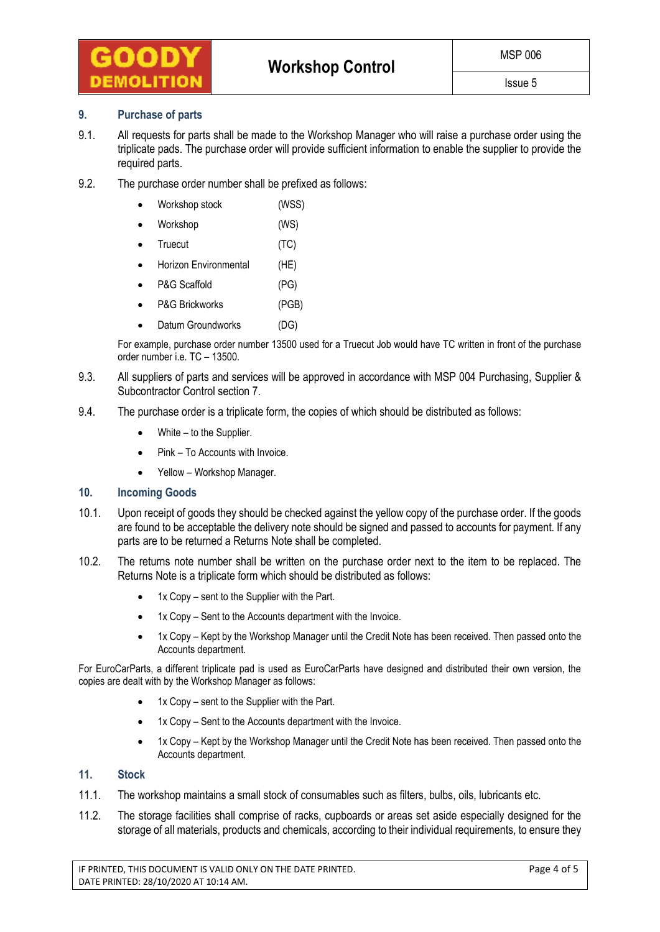

### **9. Purchase of parts**

- 9.1. All requests for parts shall be made to the Workshop Manager who will raise a purchase order using the triplicate pads. The purchase order will provide sufficient information to enable the supplier to provide the required parts.
- 9.2. The purchase order number shall be prefixed as follows:
	- Workshop stock (WSS)
	- Workshop (WS)
	- Truecut (TC)
	- Horizon Environmental (HE)
	- P&G Scaffold (PG)
	- P&G Brickworks (PGB)
	- Datum Groundworks (DG)

For example, purchase order number 13500 used for a Truecut Job would have TC written in front of the purchase order number i.e. TC – 13500.

- 9.3. All suppliers of parts and services will be approved in accordance with MSP 004 Purchasing, Supplier & Subcontractor Control section 7.
- 9.4. The purchase order is a triplicate form, the copies of which should be distributed as follows:
	- $\bullet$  White to the Supplier.
	- Pink To Accounts with Invoice.
	- Yellow Workshop Manager.

# **10. Incoming Goods**

- 10.1. Upon receipt of goods they should be checked against the yellow copy of the purchase order. If the goods are found to be acceptable the delivery note should be signed and passed to accounts for payment. If any parts are to be returned a Returns Note shall be completed.
- 10.2. The returns note number shall be written on the purchase order next to the item to be replaced. The Returns Note is a triplicate form which should be distributed as follows:
	- 1x Copy sent to the Supplier with the Part.
	- 1x Copy Sent to the Accounts department with the Invoice.
	- 1x Copy Kept by the Workshop Manager until the Credit Note has been received. Then passed onto the Accounts department.

For EuroCarParts, a different triplicate pad is used as EuroCarParts have designed and distributed their own version, the copies are dealt with by the Workshop Manager as follows:

- 1x Copy sent to the Supplier with the Part.
- 1x Copy Sent to the Accounts department with the Invoice.
- 1x Copy Kept by the Workshop Manager until the Credit Note has been received. Then passed onto the Accounts department.

# **11. Stock**

- 11.1. The workshop maintains a small stock of consumables such as filters, bulbs, oils, lubricants etc.
- 11.2. The storage facilities shall comprise of racks, cupboards or areas set aside especially designed for the storage of all materials, products and chemicals, according to their individual requirements, to ensure they